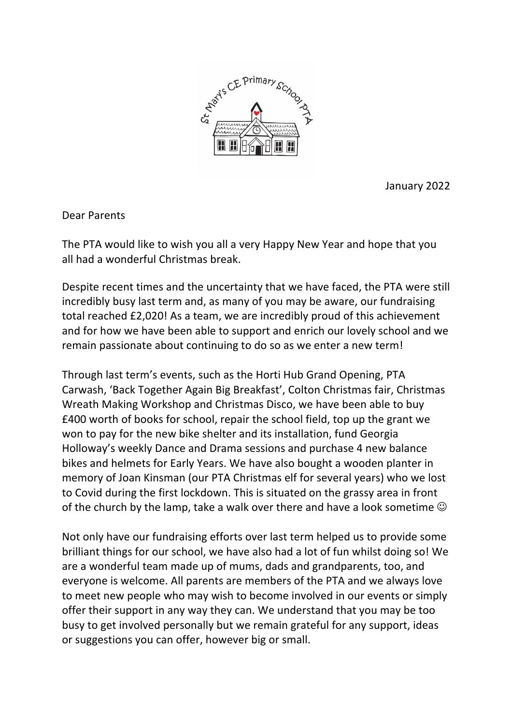

January 2022

Dear Parents

The PTA would like to wish you all a very Happy New Year and hope that you all had a wonderful Christmas break.

Despite recent times and the uncertainty that we have faced, the PTA were still incredibly busy last term and, as many of you may be aware, our fundraising total reached £2,020! As a team, we are incredibly proud of this achievement and for how we have been able to support and enrich our lovely school and we remain passionate about continuing to do so as we enter a new term!

Through last term's events, such as the Horti Hub Grand Opening, PTA Carwash, 'Back Together Again Big Breakfast', Colton Christmas fair, Christmas Wreath Making Workshop and Christmas Disco, we have been able to buy £400 worth of books for school, repair the school field, top up the grant we won to pay for the new bike shelter and its installation, fund Georgia Holloway's weekly Dance and Drama sessions and purchase 4 new balance bikes and helmets for Early Years. We have also bought a wooden planter in memory of Joan Kinsman (our PTA Christmas elf for several years) who we lost to Covid during the first lockdown. This is situated on the grassy area in front of the church by the lamp, take a walk over there and have a look sometime  $\odot$ 

Not only have our fundraising efforts over last term helped us to provide some brilliant things for our school, we have also had a lot of fun whilst doing so! We are a wonderful team made up of mums, dads and grandparents, too, and everyone is welcome. All parents are members of the PTA and we always love to meet new people who may wish to become involved in our events or simply offer their support in any way they can. We understand that you may be too busy to get involved personally but we remain grateful for any support, ideas or suggestions you can offer, however big or small.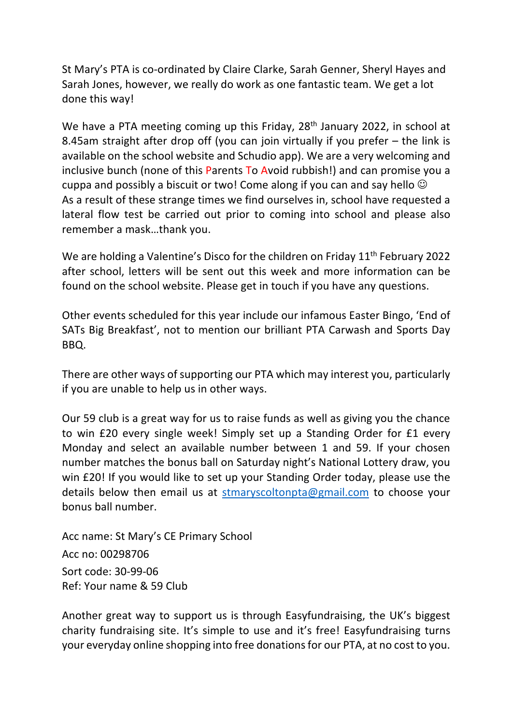St Mary's PTA is co-ordinated by Claire Clarke, Sarah Genner, Sheryl Hayes and Sarah Jones, however, we really do work as one fantastic team. We get a lot done this way!

We have a PTA meeting coming up this Friday, 28<sup>th</sup> January 2022, in school at 8.45am straight after drop off (you can join virtually if you prefer – the link is available on the school website and Schudio app). We are a very welcoming and inclusive bunch (none of this Parents To Avoid rubbish!) and can promise you a cuppa and possibly a biscuit or two! Come along if you can and say hello  $\odot$ As a result of these strange times we find ourselves in, school have requested a lateral flow test be carried out prior to coming into school and please also remember a mask…thank you.

We are holding a Valentine's Disco for the children on Friday  $11<sup>th</sup>$  February 2022 after school, letters will be sent out this week and more information can be found on the school website. Please get in touch if you have any questions.

Other events scheduled for this year include our infamous Easter Bingo, 'End of SATs Big Breakfast', not to mention our brilliant PTA Carwash and Sports Day BBQ.

There are other ways of supporting our PTA which may interest you, particularly if you are unable to help us in other ways.

Our 59 club is a great way for us to raise funds as well as giving you the chance to win £20 every single week! Simply set up a Standing Order for £1 every Monday and select an available number between 1 and 59. If your chosen number matches the bonus ball on Saturday night's National Lottery draw, you win £20! If you would like to set up your Standing Order today, please use the details below then email us at stmaryscoltonpta@gmail.com to choose your bonus ball number.

Acc name: St Mary's CE Primary School Acc no: 00298706 Sort code: 30-99-06 Ref: Your name & 59 Club

Another great way to support us is through Easyfundraising, the UK's biggest charity fundraising site. It's simple to use and it's free! Easyfundraising turns your everyday online shopping into free donations for our PTA, at no cost to you.